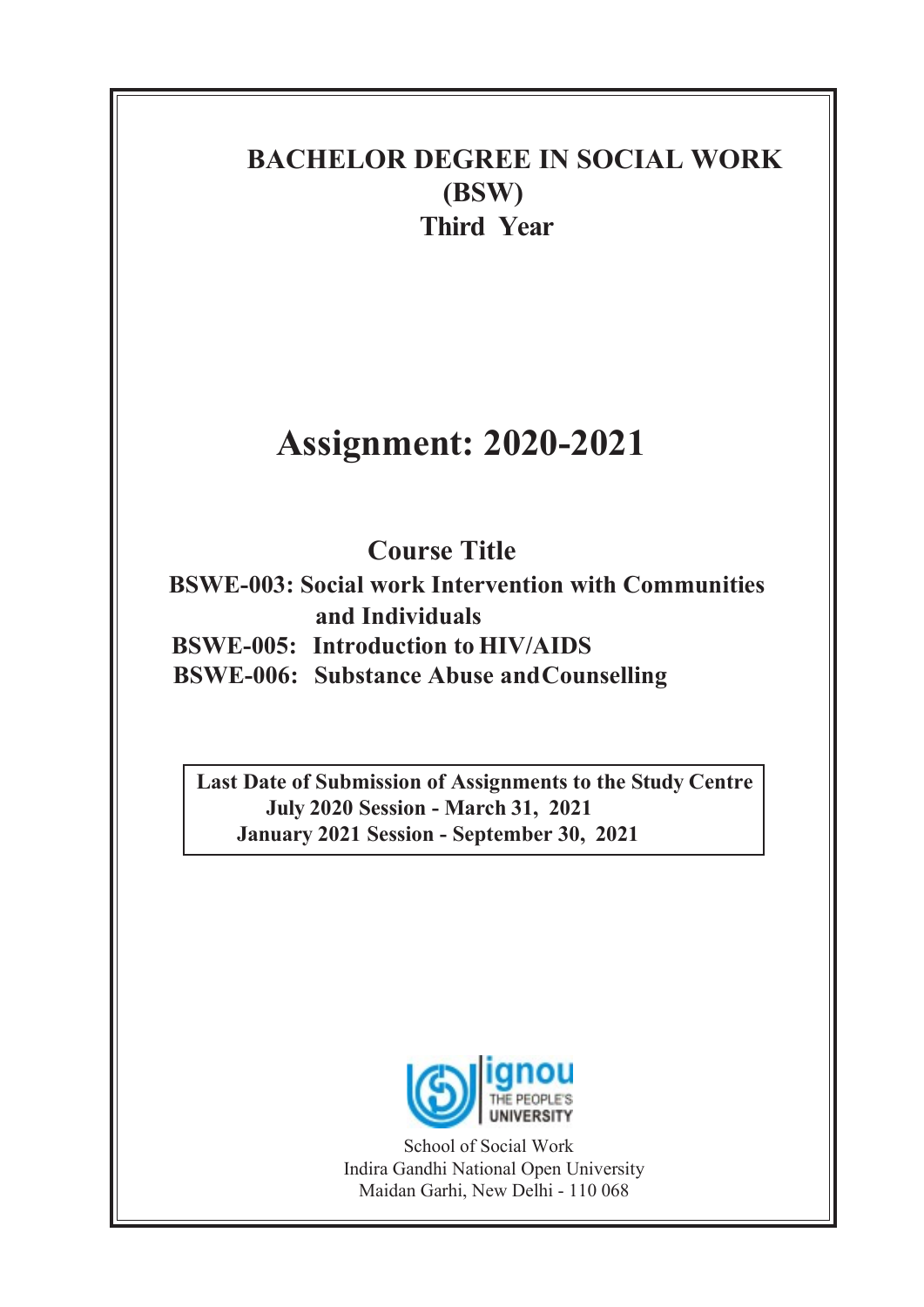## BACHELOR DEGREE IN SOCIAL WORK (BSW) Third Year

# Assignment: 2020-2021

# Course Title

BSWE-003: Social work Intervention with Communities and Individuals BSWE-005: Introduction to HIV/AIDS

BSWE-006: Substance Abuse and Counselling

Last Date of Submission of Assignments to the Study Centre July 2020 Session - March 31, 2021 January 2021 Session - September 30, 2021



School of Social Work Indira Gandhi National Open University Maidan Garhi, New Delhi - 110 068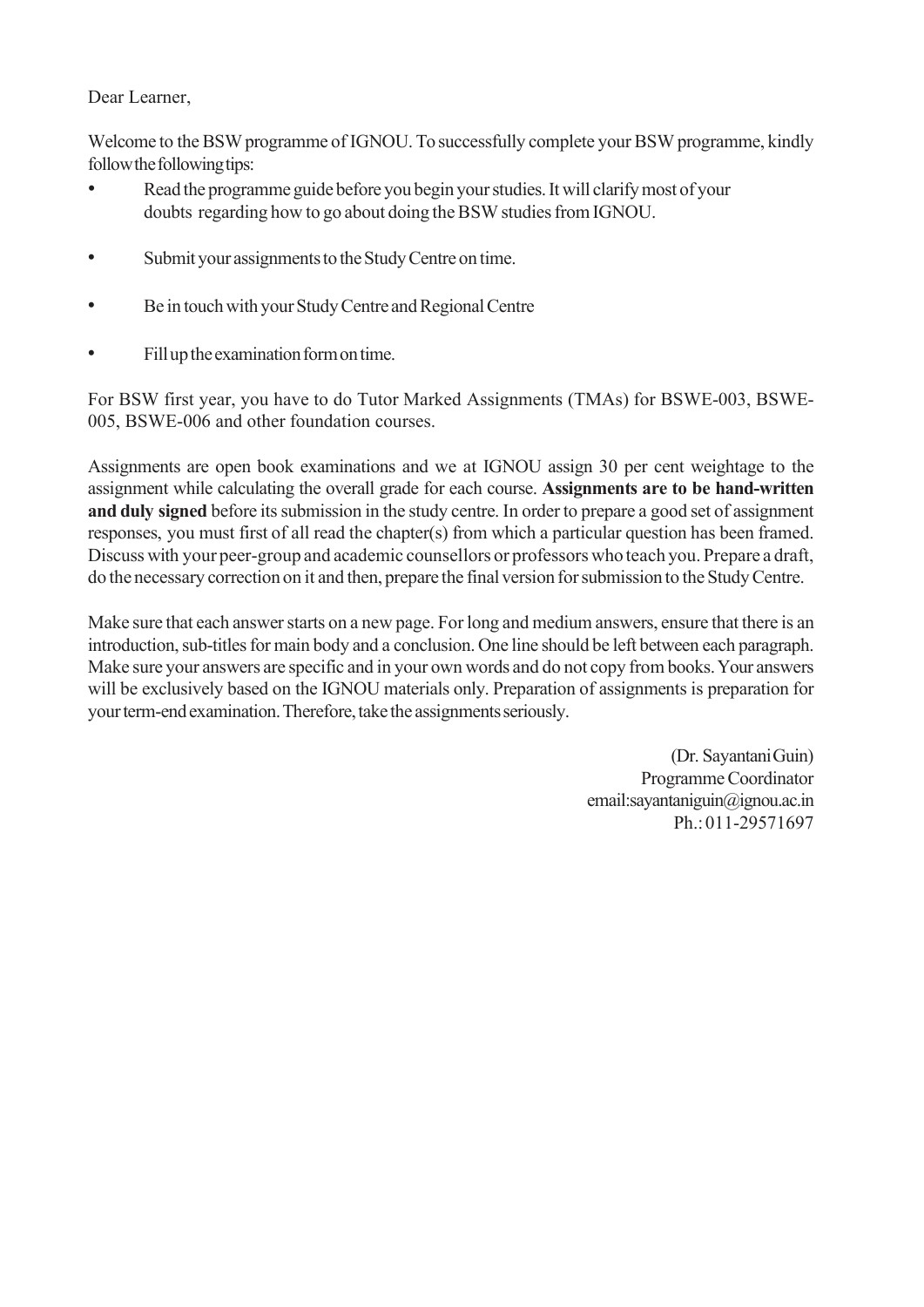#### Dear Learner,

Welcome to the BSW programme of IGNOU. To successfully complete your BSW programme, kindly follow the following tips:

- Read the programme guide before you begin your studies. It will clarify most of your doubts regarding how to go about doing the BSW studies from IGNOU.
- Submit your assignments to the Study Centre on time.
- Be in touch with your Study Centre and Regional Centre
- Fill up the examination form on time.

For BSW first year, you have to do Tutor Marked Assignments (TMAs) for BSWE-003, BSWE-005, BSWE-006 and other foundation courses.

Assignments are open book examinations and we at IGNOU assign 30 per cent weightage to the assignment while calculating the overall grade for each course. Assignments are to be hand-written and duly signed before its submission in the study centre. In order to prepare a good set of assignment responses, you must first of all read the chapter(s) from which a particular question has been framed. Discuss with your peer-group and academic counsellors or professors who teach you. Prepare a draft, do the necessary correction on it and then, prepare the final version for submission to the Study Centre.

Make sure that each answer starts on a new page. For long and medium answers, ensure that there is an introduction, sub-titles for main body and a conclusion. One line should be left between each paragraph. Make sure your answers are specific and in your own words and do not copy from books. Your answers will be exclusively based on the IGNOU materials only. Preparation of assignments is preparation for your term-end examination. Therefore, take the assignments seriously.

> (Dr. Sayantani Guin) Programme Coordinator email: sayantaniguin@ignou.ac.in Ph.: 011-29571697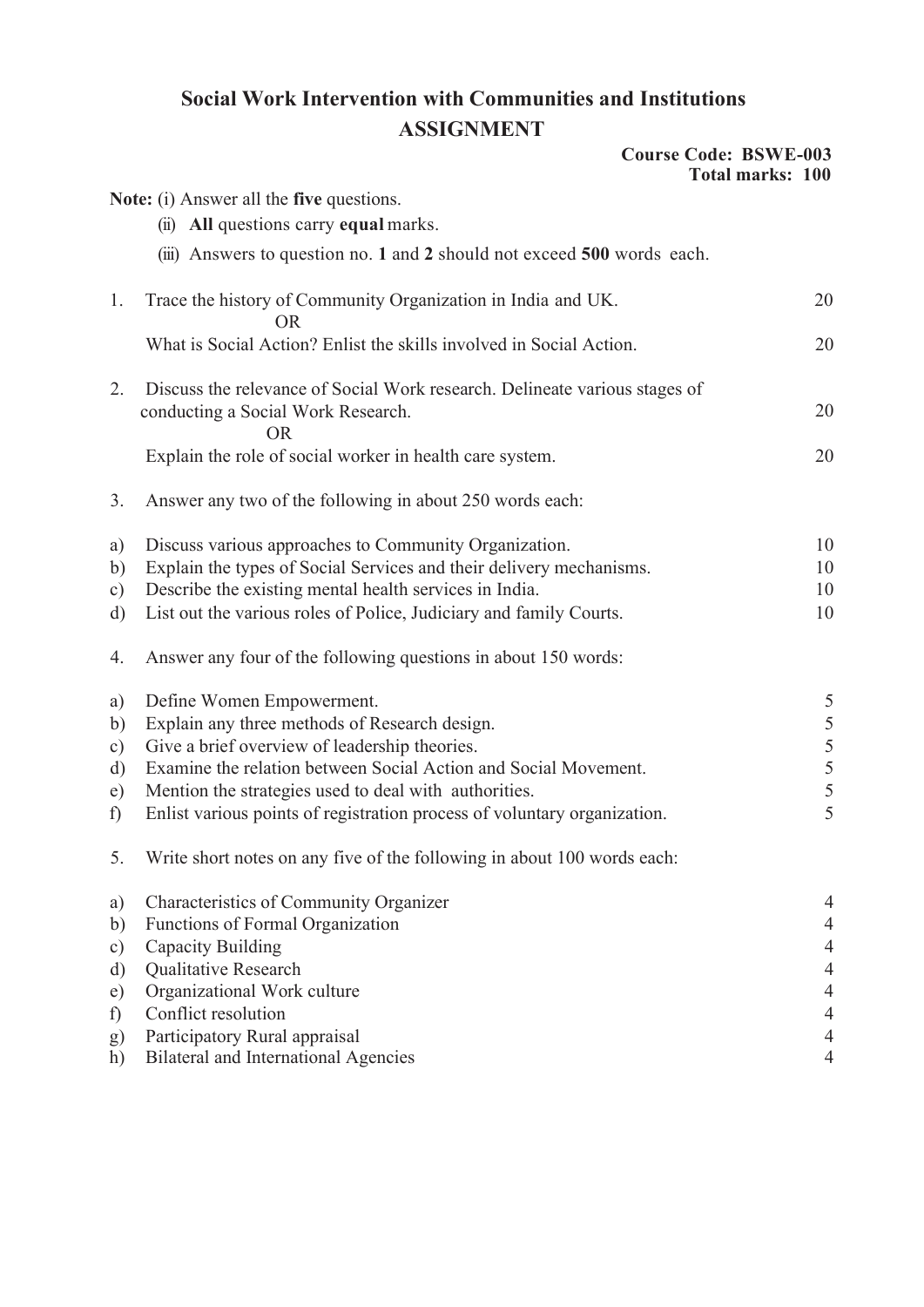### Social Work Intervention with Communities and Institutions ASSIGNMENT

|  | <b>Course Code: BSWE-003</b> |  |
|--|------------------------------|--|
|  | <b>Total marks: 100</b>      |  |

|               |                                                                                                                               | viai mai ns. Tuv |               |
|---------------|-------------------------------------------------------------------------------------------------------------------------------|------------------|---------------|
|               | Note: (i) Answer all the five questions.                                                                                      |                  |               |
|               | (ii) All questions carry equal marks.                                                                                         |                  |               |
|               | (iii) Answers to question no. 1 and 2 should not exceed 500 words each.                                                       |                  |               |
| 1.            | Trace the history of Community Organization in India and UK.<br><b>OR</b>                                                     |                  | 20            |
|               | What is Social Action? Enlist the skills involved in Social Action.                                                           |                  | 20            |
| 2.            | Discuss the relevance of Social Work research. Delineate various stages of<br>conducting a Social Work Research.<br><b>OR</b> |                  | 20            |
|               | Explain the role of social worker in health care system.                                                                      |                  | 20            |
| 3.            | Answer any two of the following in about 250 words each:                                                                      |                  |               |
| a)            | Discuss various approaches to Community Organization.                                                                         |                  | 10            |
| b)            | Explain the types of Social Services and their delivery mechanisms.                                                           |                  | 10            |
| $\circ$ )     | Describe the existing mental health services in India.                                                                        |                  | 10            |
| d)            | List out the various roles of Police, Judiciary and family Courts.                                                            |                  | 10            |
| 4.            | Answer any four of the following questions in about 150 words:                                                                |                  |               |
| a)            | Define Women Empowerment.                                                                                                     |                  | 5             |
| b)            | Explain any three methods of Research design.                                                                                 |                  | 5             |
| $\mathbf{c})$ | Give a brief overview of leadership theories.                                                                                 |                  |               |
| d)            | Examine the relation between Social Action and Social Movement.                                                               |                  | $\frac{5}{5}$ |
| e)            | Mention the strategies used to deal with authorities.                                                                         |                  | 5             |
| f)            | Enlist various points of registration process of voluntary organization.                                                      |                  | 5             |
| 5.            | Write short notes on any five of the following in about 100 words each:                                                       |                  |               |
| a)            | Characteristics of Community Organizer                                                                                        |                  | 4             |
| b)            | Functions of Formal Organization                                                                                              |                  | 4             |
| $\circ$ )     | Capacity Building                                                                                                             |                  | 4             |
| d)            | Qualitative Research                                                                                                          |                  | 4             |
| e)            | Organizational Work culture                                                                                                   |                  | 4             |
| f)            | Conflict resolution                                                                                                           |                  | 4             |
| g)            | Participatory Rural appraisal                                                                                                 |                  | 4             |
| h)            | <b>Bilateral and International Agencies</b>                                                                                   |                  | 4             |
|               |                                                                                                                               |                  |               |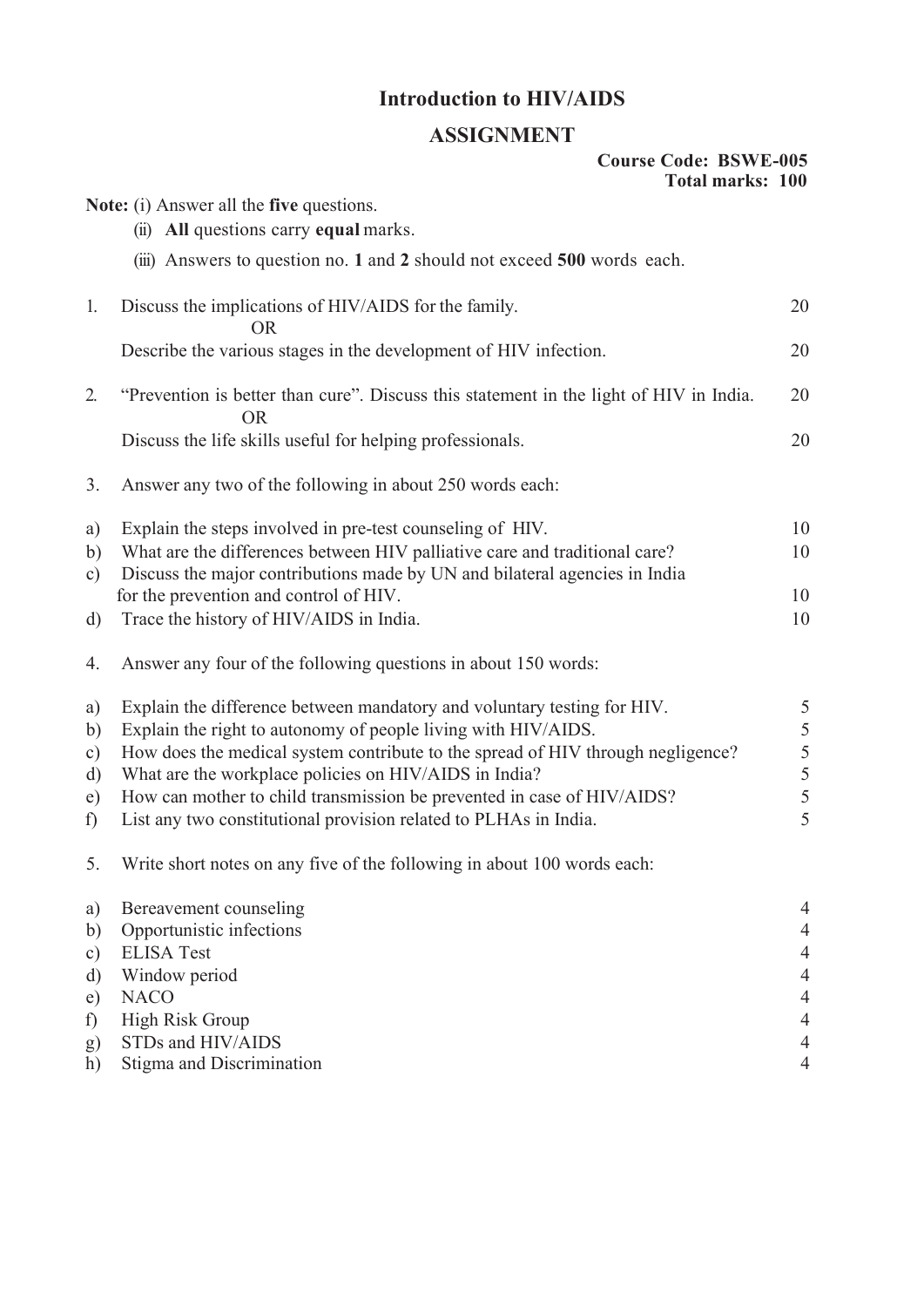### Introduction to HIV/AIDS

#### ASSIGNMENT

#### Course Code: BSWE-005 Total marks: 100

|                  | Note: (i) Answer all the five questions.                                                            |                |
|------------------|-----------------------------------------------------------------------------------------------------|----------------|
|                  | (ii) All questions carry equal marks.                                                               |                |
|                  | (iii) Answers to question no. 1 and 2 should not exceed 500 words each.                             |                |
| 1.               | Discuss the implications of HIV/AIDS for the family.<br><b>OR</b>                                   | 20             |
|                  | Describe the various stages in the development of HIV infection.                                    | 20             |
| 2.               | "Prevention is better than cure". Discuss this statement in the light of HIV in India.<br><b>OR</b> | 20             |
|                  | Discuss the life skills useful for helping professionals.                                           | 20             |
| 3.               | Answer any two of the following in about 250 words each:                                            |                |
| a)               | Explain the steps involved in pre-test counseling of HIV.                                           | 10             |
| b)               | What are the differences between HIV palliative care and traditional care?                          | 10             |
| c)               | Discuss the major contributions made by UN and bilateral agencies in India                          |                |
|                  | for the prevention and control of HIV.                                                              | 10             |
| d)               | Trace the history of HIV/AIDS in India.                                                             | 10             |
| 4.               | Answer any four of the following questions in about 150 words:                                      |                |
| a)               | Explain the difference between mandatory and voluntary testing for HIV.                             | 5              |
| $\mathbf{b}$     | Explain the right to autonomy of people living with HIV/AIDS.                                       | 5              |
| $\mathbf{c})$    | How does the medical system contribute to the spread of HIV through negligence?                     | 5              |
| d)               | What are the workplace policies on HIV/AIDS in India?                                               | $\overline{5}$ |
| e)               | How can mother to child transmission be prevented in case of HIV/AIDS?                              | 5              |
| f)               | List any two constitutional provision related to PLHAs in India.                                    | 5              |
| 5.               | Write short notes on any five of the following in about 100 words each:                             |                |
| a)               | Bereavement counseling                                                                              | 4              |
| b)               | Opportunistic infections                                                                            | 4              |
| c)               | <b>ELISA Test</b>                                                                                   | 4              |
| d)               | Window period                                                                                       | 4              |
| e)               | <b>NACO</b>                                                                                         |                |
| f)               | <b>High Risk Group</b>                                                                              | 4              |
| $\left(g\right)$ | STDs and HIV/AIDS                                                                                   | 4              |
| h)               | Stigma and Discrimination                                                                           | 4              |